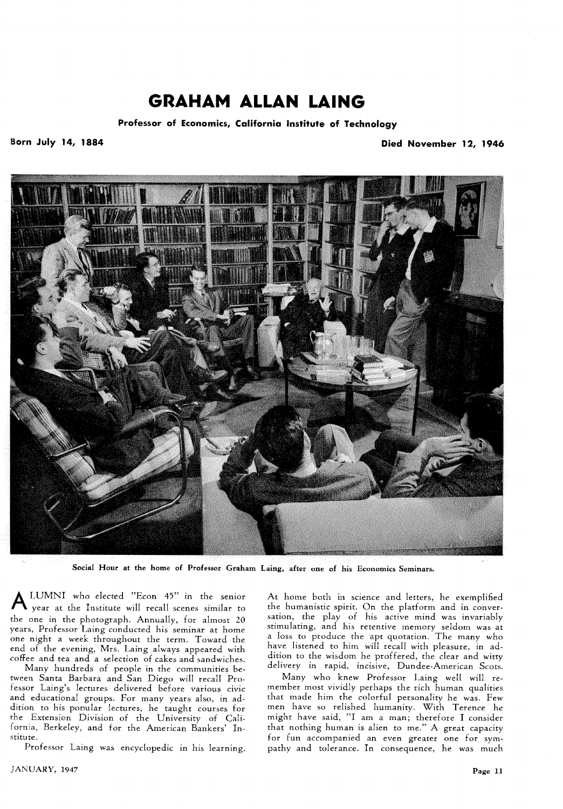## **GRAHAM ALLAN LAING**

**Professor of Economics, California Institute of Technology** 

Born July 14, 1884 **Died November 12, 1946** 



**Social Hour at the home of Professor Graham Laing, after one of his Economics Seminars.** 

**A** LUMNI who elected "Econ 45" in the senior year at the Institute will recall scenes similar to the one in the photograph. Annually, for almost *20*  years, Professor Laing conducted his seminar at home one night a week throughout the term. Toward the end of the evening, Mrs. Laing always appeared with coffee and tea and a selection of cakes and sandwiches.

Many hundreds of people in the communities between Santa Barbara and San Diego will recall Professor Laing's lectures delivered before various civic and educational groups. For many years also, in addition to his pooular lectures, he taught courses for the Extension Division of the University of California, Berkeley. and for the American Bankers' Institute.

Professor Laing was encyclopedic in his learning.

*JANUARY*, 1947 **Page 11** 

At home both in science and letters, he exemplified the humanistic spirit. On the platform and in conversation, the play of his active mind was invariably stimulating, and his retentive memory seldom was at  $\iota$  loss to produce the apt quotation. The many who have listened to him will recall with pleasure, in addition to the wisdom he proffered, the clear and witty delivery in rapid, incisive, Dundee-American Scots.

Many who knew Professor Laing well will remember most vividly perhaps the rich human qualities that made him the colorful personality he was. Few men have so relished humanity. With Terence he might have said, "I am a man; therefore I consider that nothing human is alien to me." A great capacity for fun accompanied an even greater one for sympathy and tolerance. In consequence, he was much